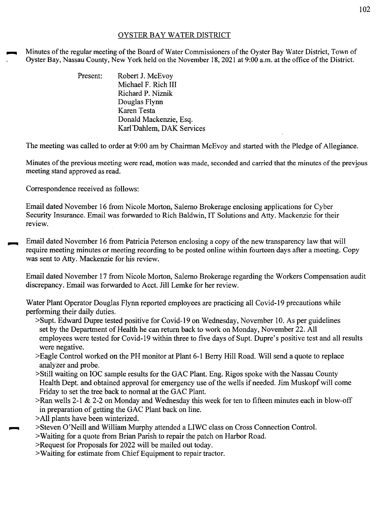## OYSTER BAY WATER DISTRICT

Minutes of the regular meeting of the Board of Water Commissioners of the Oyster Bay Water District, Town of Oyster Bay, Nassau County, New York held on the November 18, 2021 at 9:00 a.m. at the office of the District.

| Present: | Robert J. McEvoy          |
|----------|---------------------------|
|          | Michael F. Rich III       |
|          | Richard P. Niznik         |
|          | Douglas Flynn             |
|          | Karen Testa               |
|          | Donald Mackenzie, Esq.    |
|          | Karl Dahlem, DAK Services |

The meeting was called to order at 9:00 am by Chairman McEvoy and started with the Pledge of Allegiance.

Minutes ofthe previous meeting were read, motion was made, seconded and carried that the minutes of the previous meeting stand approved as read.

Correspondence received as follows:

Email dated November 16 from Nicole Morton, Salerno Brokerage enclosing applications for Cyber Security Insurance. Email was forwarded to Rich Baldwin, IT Solutions and Atty. Mackenzie for their review.

Email dated November 16 from Patricia Peterson enclosing a copy of the new transparency law that will require meeting minutes or meeting recording to be posted online within fourteen days after a meeting. Copy was sent to Atty. Mackenzie for his review.

Email dated November 17 from Nicole Morton, Salerno Brokerage regarding the Workers Compensation audit discrepancy. Email was forwarded to Acct. Jill Lemke for her review.

Water Plant Operator Douglas Flynn reported employees are practicing all Covid-19 precautions while performing their daily duties.

- >Supt. Edward Dupre tested positive for Covid-19 on Wednesday, November 10. As per guidelines set by the Department of Health he can return back to work on Monday, November 22. All employees were tested for Covid-19 within three to five days of Supt. Dupre's positive test and all results were negative.
- >Eagle Control worked on the PH monitor at Plant 6-1 Berry Hill Road. Will send a quote to replace analyzer and probe.
- >Still waiting on IOC sample results for the GAC Plant. Eng. Rigos spoke with the Nassau County Health Dept. and obtained approval for emergency use of the wells if needed. Jim Muskopf will come Friday to set the tree back to normal at the GAC Plant.
- $\ge$ Ran wells 2-1 & 2-2 on Monday and Wednesday this week for ten to fifteen minutes each in blow-off in preparation of getting the GAC Plant back on line.
- >All plants have been winterized.
- ~ >Steven O'Neill and William Murphy attended a LIWC class on Cross Connection Control.
- >Waiting for a quote from Brian Parish to repair the patch on Harbor Road.
- >Request for Proposals for 2022 will be mailed out today.
- >Waiting for estimate from Chief Equipment to repair tractor.